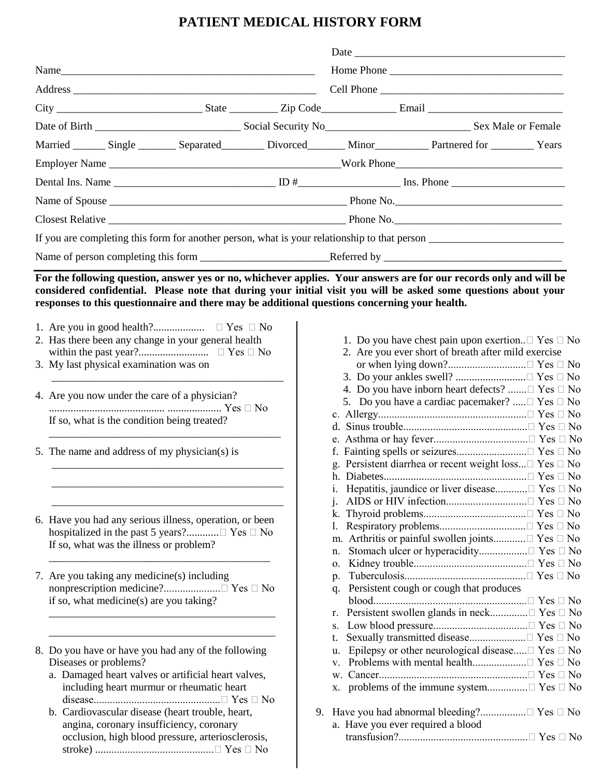## **PATIENT MEDICAL HISTORY FORM**

| Married Single Separated Divorced Minor Partnered for Years                                   |  |                                   |                                                                   |  |
|-----------------------------------------------------------------------------------------------|--|-----------------------------------|-------------------------------------------------------------------|--|
|                                                                                               |  |                                   |                                                                   |  |
|                                                                                               |  |                                   |                                                                   |  |
|                                                                                               |  |                                   |                                                                   |  |
|                                                                                               |  |                                   |                                                                   |  |
|                                                                                               |  |                                   |                                                                   |  |
|                                                                                               |  |                                   |                                                                   |  |
|                                                                                               |  |                                   |                                                                   |  |
| responses to this questionnaire and there may be additional questions concerning your health. |  |                                   |                                                                   |  |
| 2. Has there been any change in your general health                                           |  |                                   | 1. Do you have chest pain upon exertion. $\Box$ Yes $\Box$ No     |  |
|                                                                                               |  |                                   | 2. Are you ever short of breath after mild exercise               |  |
| 3. My last physical examination was on                                                        |  |                                   |                                                                   |  |
|                                                                                               |  |                                   | 4. Do you have inborn heart defects? $\Box$ Yes $\Box$ No         |  |
| 4. Are you now under the care of a physician?                                                 |  |                                   | 5. Do you have a cardiac pacemaker?  Pes D No                     |  |
| If so, what is the condition being treated?                                                   |  |                                   |                                                                   |  |
|                                                                                               |  |                                   |                                                                   |  |
| 5. The name and address of my physician(s) is                                                 |  |                                   |                                                                   |  |
|                                                                                               |  |                                   | g. Persistent diarrhea or recent weight loss $\Box$ Yes $\Box$ No |  |
|                                                                                               |  |                                   |                                                                   |  |
|                                                                                               |  |                                   |                                                                   |  |
|                                                                                               |  |                                   |                                                                   |  |
| 6. Have you had any serious illness, operation, or been                                       |  |                                   |                                                                   |  |
| If so, what was the illness or problem?                                                       |  |                                   |                                                                   |  |
|                                                                                               |  | n.                                |                                                                   |  |
|                                                                                               |  | 0.                                |                                                                   |  |
| 7. Are you taking any medicine(s) including                                                   |  | $p_{\cdot}$                       | q. Persistent cough or cough that produces                        |  |
| if so, what medicine(s) are you taking?                                                       |  |                                   |                                                                   |  |
|                                                                                               |  | r.                                | Persistent swollen glands in neck□ Yes □ No                       |  |
|                                                                                               |  |                                   |                                                                   |  |
|                                                                                               |  |                                   |                                                                   |  |
| 8. Do you have or have you had any of the following                                           |  | u.                                | Epilepsy or other neurological disease $\Box$ Yes $\Box$ No       |  |
| Diseases or problems?                                                                         |  | V.                                |                                                                   |  |
| a. Damaged heart valves or artificial heart valves,                                           |  |                                   |                                                                   |  |
| including heart murmur or rheumatic heart                                                     |  |                                   |                                                                   |  |
| b. Cardiovascular disease (heart trouble, heart,                                              |  |                                   |                                                                   |  |
| angina, coronary insufficiency, coronary                                                      |  | a. Have you ever required a blood |                                                                   |  |
| occlusion, high blood pressure, arteriosclerosis,                                             |  |                                   |                                                                   |  |